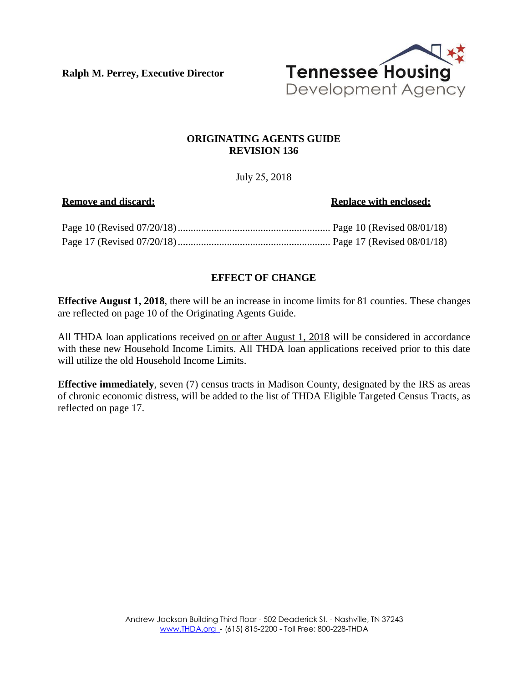**Ralph M. Perrey, Executive Director**



#### **ORIGINATING AGENTS GUIDE REVISION 136**

July 25, 2018

#### **Remove and discard:** Replace with enclosed:

# **EFFECT OF CHANGE**

**Effective August 1, 2018**, there will be an increase in income limits for 81 counties. These changes are reflected on page 10 of the Originating Agents Guide.

All THDA loan applications received on or after August 1, 2018 will be considered in accordance with these new Household Income Limits. All THDA loan applications received prior to this date will utilize the old Household Income Limits.

**Effective immediately**, seven (7) census tracts in Madison County, designated by the IRS as areas of chronic economic distress, will be added to the list of THDA Eligible Targeted Census Tracts, as reflected on page 17.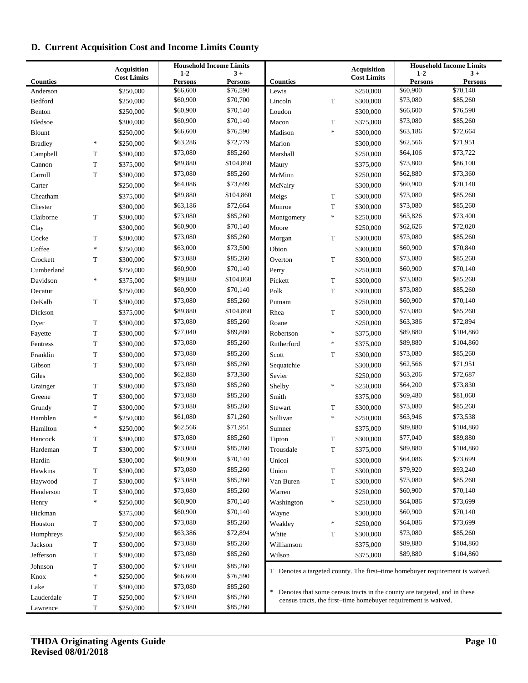# **D. Current Acquisition Cost and Income Limits County**

|                      |             |                                          | <b>Household Income Limits</b> |                      |                                                                |             |                                                                          | <b>Household Income Limits</b> |                                                                              |  |
|----------------------|-------------|------------------------------------------|--------------------------------|----------------------|----------------------------------------------------------------|-------------|--------------------------------------------------------------------------|--------------------------------|------------------------------------------------------------------------------|--|
|                      |             | <b>Acquisition</b><br><b>Cost Limits</b> | $1 - 2$                        | $3+$                 |                                                                |             | <b>Acquisition</b><br><b>Cost Limits</b>                                 | $1 - 2$                        | $3+$                                                                         |  |
| <b>Counties</b>      |             |                                          | <b>Persons</b>                 | <b>Persons</b>       | <b>Counties</b>                                                |             |                                                                          | <b>Persons</b>                 | <b>Persons</b>                                                               |  |
| Anderson             |             | \$250,000                                | \$66,600                       | \$76,590             | Lewis                                                          |             | \$250,000                                                                | \$60,900                       | \$70,140                                                                     |  |
| Bedford              |             | \$250,000                                | \$60,900                       | \$70,700<br>\$70,140 | Lincoln                                                        | $\mathbf T$ | \$300,000                                                                | \$73,080                       | \$85,260                                                                     |  |
| Benton               |             | \$250,000                                | \$60,900                       |                      | Loudon                                                         |             | \$300,000                                                                | \$66,600                       | \$76,590                                                                     |  |
| Bledsoe              |             | \$300,000                                | \$60,900                       | \$70,140             | Macon                                                          | T           | \$375,000                                                                | \$73,080                       | \$85,260                                                                     |  |
| Blount               |             | \$250,000                                | \$66,600                       | \$76,590             | Madison                                                        | $\ast$      | \$300,000                                                                | \$63,186                       | \$72,664                                                                     |  |
| <b>Bradley</b>       | $\ast$      | \$250,000                                | \$63,286                       | \$72,779             | Marion                                                         |             | \$300,000                                                                | \$62,566                       | \$71,951                                                                     |  |
| Campbell             | T           | \$300,000                                | \$73,080                       | \$85,260             | Marshall                                                       |             | \$250,000                                                                | \$64,106                       | \$73,722                                                                     |  |
| Cannon               | T           | \$375,000                                | \$89,880                       | \$104,860            | Maury                                                          |             | \$375,000                                                                | \$73,800                       | \$86,100                                                                     |  |
| Carroll              | T           | \$300,000                                | \$73,080                       | \$85,260             | McMinn                                                         |             | \$250,000                                                                | \$62,880                       | \$73,360                                                                     |  |
| Carter               |             | \$250,000                                | \$64,086                       | \$73,699             | McNairy                                                        |             | \$300,000                                                                | \$60,900                       | \$70,140                                                                     |  |
| Cheatham             |             | \$375,000                                | \$89,880                       | \$104,860            | Meigs                                                          | T           | \$300,000                                                                | \$73,080                       | \$85,260                                                                     |  |
| Chester              |             | \$300,000                                | \$63,186                       | \$72,664             | Monroe                                                         | ${\bf T}$   | \$300,000                                                                | \$73,080                       | \$85,260                                                                     |  |
| Claiborne            | T           | \$300,000                                | \$73,080                       | \$85,260             | Montgomery                                                     | $\ast$      | \$250,000                                                                | \$63,826                       | \$73,400                                                                     |  |
| Clay                 |             | \$300,000                                | \$60,900                       | \$70,140             | Moore                                                          |             | \$250,000                                                                | \$62,626                       | \$72,020                                                                     |  |
| Cocke                | T           | \$300,000                                | \$73,080                       | \$85,260             | Morgan                                                         | T           | \$300,000                                                                | \$73,080                       | \$85,260                                                                     |  |
| Coffee               | $\ast$      | \$250,000                                | \$63,000                       | \$73,500             | Obion                                                          |             | \$300,000                                                                | \$60,900                       | \$70,840                                                                     |  |
| Crockett             | T           | \$300,000                                | \$73,080                       | \$85,260             | Overton                                                        | T           | \$300,000                                                                | \$73,080                       | \$85,260                                                                     |  |
| Cumberland           |             | \$250,000                                | \$60,900                       | \$70,140             | Perry                                                          |             | \$250,000                                                                | \$60,900                       | \$70,140                                                                     |  |
| Davidson             | $\ast$      | \$375,000                                | \$89,880                       | \$104,860            | Pickett                                                        | $\mathbf T$ | \$300,000                                                                | \$73,080                       | \$85,260                                                                     |  |
| Decatur              |             | \$250,000                                | \$60,900                       | \$70,140             | Polk                                                           | T           | \$300,000                                                                | \$73,080                       | \$85,260                                                                     |  |
| DeKalb               | T           | \$300,000                                | \$73,080                       | \$85,260             | Putnam                                                         |             | \$250,000                                                                | \$60,900                       | \$70,140                                                                     |  |
| Dickson              |             | \$375,000                                | \$89,880                       | \$104,860            | Rhea                                                           | T           | \$300,000                                                                | \$73,080                       | \$85,260                                                                     |  |
| Dyer                 | T           | \$300,000                                | \$73,080                       | \$85,260             | Roane                                                          |             | \$250,000                                                                | \$63,386                       | \$72,894                                                                     |  |
| Fayette              | T           | \$300,000                                | \$77,040                       | \$89,880             | Robertson                                                      | $\ast$      | \$375,000                                                                | \$89,880                       | \$104,860                                                                    |  |
| Fentress             | T           | \$300,000                                | \$73,080                       | \$85,260             | Rutherford                                                     | $\ast$      | \$375,000                                                                | \$89,880                       | \$104,860                                                                    |  |
| Franklin             | T           | \$300,000                                | \$73,080                       | \$85,260             | Scott                                                          | T           | \$300,000                                                                | \$73,080                       | \$85,260                                                                     |  |
| Gibson               | T           | \$300,000                                | \$73,080                       | \$85,260             | Sequatchie                                                     |             | \$300,000                                                                | \$62,566                       | \$71,951                                                                     |  |
| Giles                |             | \$300,000                                | \$62,880                       | \$73,360             | Sevier                                                         |             | \$250,000                                                                | \$63,206                       | \$72,687                                                                     |  |
| Grainger             | T           | \$300,000                                | \$73,080                       | \$85,260             | Shelby                                                         | $\ast$      | \$250,000                                                                | \$64,200                       | \$73,830                                                                     |  |
| Greene               | T           | \$300,000                                | \$73,080                       | \$85,260             | Smith                                                          |             | \$375,000                                                                | \$69,480                       | \$81,060                                                                     |  |
| Grundy               | T           | \$300,000                                | \$73,080                       | \$85,260             | Stewart                                                        | T           | \$300,000                                                                | \$73,080                       | \$85,260                                                                     |  |
| Hamblen              | $\ast$      | \$250,000                                | \$61,080                       | \$71,260             | Sullivan                                                       | $\ast$      | \$250,000                                                                | \$63,946                       | \$73,538                                                                     |  |
| Hamilton             | $\ast$      | \$250,000                                | \$62,566                       | \$71,951             | Sumner                                                         |             | \$375,000                                                                | \$89,880                       | \$104,860                                                                    |  |
| Hancock              | T           | \$300,000                                | \$73,080                       | \$85,260             | Tipton                                                         | T           | \$300,000                                                                | \$77,040                       | \$89,880                                                                     |  |
| Hardeman             | T           | \$300,000                                | \$73,080                       | \$85,260             | Trousdale                                                      | T           | \$375,000                                                                | \$89,880                       | \$104,860                                                                    |  |
| Hardin               |             | \$300,000                                | \$60,900                       | \$70,140             | Unicoi                                                         |             | \$300,000                                                                | \$64,086                       | \$73,699                                                                     |  |
| Hawkins              | T           | \$300,000                                | \$73,080                       | \$85,260             | Union                                                          | T           | \$300,000                                                                | \$79,920                       | \$93,240                                                                     |  |
| Haywood              | T           | \$300,000                                | \$73,080                       | \$85,260             | Van Buren                                                      | $\mathbf T$ | \$300,000                                                                | \$73,080                       | \$85,260                                                                     |  |
| Henderson            | T           | \$300,000                                | \$73,080                       | \$85,260             | Warren                                                         |             | \$250,000                                                                | \$60,900                       | \$70,140                                                                     |  |
| Henry                | $\ast$      | \$250,000                                | \$60,900                       | \$70,140             | Washington                                                     | $\ast$      | \$250,000                                                                | \$64,086                       | \$73,699                                                                     |  |
| Hickman              |             | \$375,000                                | \$60,900                       | \$70,140             | Wayne                                                          |             | \$300,000                                                                | \$60,900                       | \$70,140                                                                     |  |
| Houston              | T           | \$300,000                                | \$73,080                       | \$85,260             | Weakley                                                        | $\ast$      | \$250,000                                                                | \$64,086                       | \$73,699                                                                     |  |
| Humphreys            |             | \$250,000                                | \$63,386                       | \$72,894             | White                                                          | T           | \$300,000                                                                | \$73,080                       | \$85,260                                                                     |  |
|                      | T           |                                          | \$73,080                       | \$85,260             | Williamson                                                     |             |                                                                          | \$89,880                       | \$104,860                                                                    |  |
| Jackson<br>Jefferson |             | \$300,000<br>\$300,000                   | \$73,080                       | \$85,260             | Wilson                                                         |             | \$375,000                                                                | \$89,880                       | \$104,860                                                                    |  |
|                      | T           |                                          |                                |                      |                                                                |             | \$375,000                                                                |                                |                                                                              |  |
| Johnson              | T<br>$\ast$ | \$300,000                                | \$73,080                       | \$85,260             |                                                                |             |                                                                          |                                | T Denotes a targeted county. The first-time homebuyer requirement is waived. |  |
| Knox                 |             | \$250,000                                | \$66,600<br>\$73,080           | \$76,590<br>\$85,260 |                                                                |             |                                                                          |                                |                                                                              |  |
| Lake                 | T           | \$300,000                                | \$73,080                       | \$85,260             | $\ast$                                                         |             | Denotes that some census tracts in the county are targeted, and in these |                                |                                                                              |  |
| Lauderdale           | T           | \$250,000                                | \$73,080                       | \$85,260             | census tracts, the first-time homebuyer requirement is waived. |             |                                                                          |                                |                                                                              |  |
| Lawrence             | T           | \$250,000                                |                                |                      |                                                                |             |                                                                          |                                |                                                                              |  |